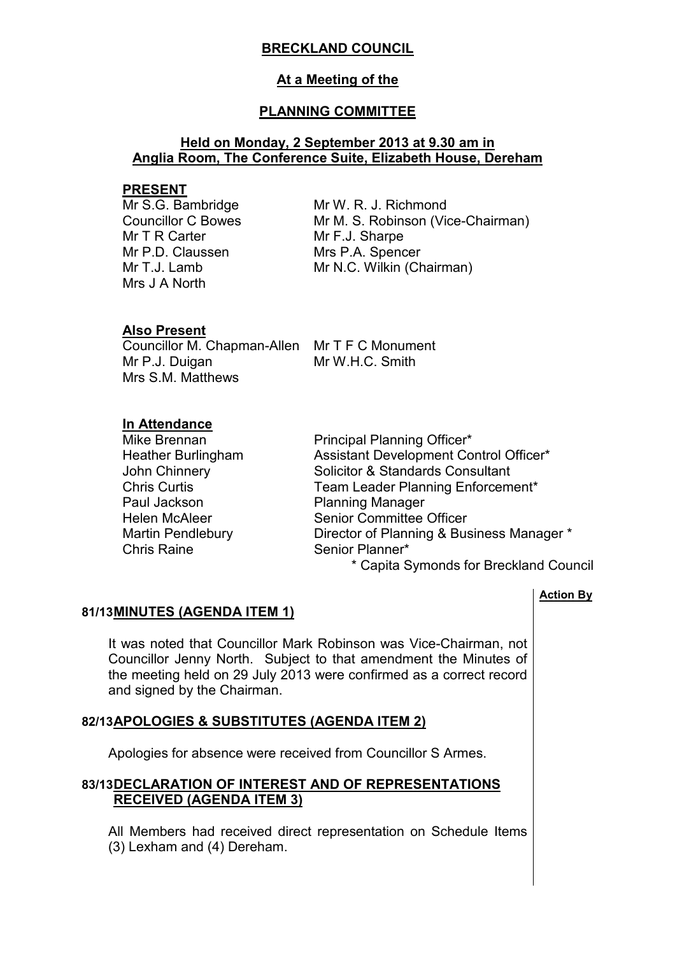# **BRECKLAND COUNCIL**

## **At a Meeting of the**

# **PLANNING COMMITTEE**

## **Held on Monday, 2 September 2013 at 9.30 am in Anglia Room, The Conference Suite, Elizabeth House, Dereham**

### **PRESENT**

Mr S.G. Bambridge Councillor C Bowes Mr T R Carter Mr P.D. Claussen Mr T.J. Lamb Mrs J A North

Mr W. R. J. Richmond Mr M. S. Robinson (Vice-Chairman) Mr F.J. Sharpe Mrs P.A. Spencer Mr N.C. Wilkin (Chairman)

## **Also Present**

Councillor M. Chapman-Allen Mr T F C Monument Mr P.J. Duigan Mrs S.M. Matthews

Mr W.H.C. Smith

# **In Attendance**

Paul Jackson Planning Manager Chris Raine **Senior Planner\*** 

Mike Brennan **Principal Planning Officer\*** Heather Burlingham Assistant Development Control Officer\* John Chinnery **Solicitor & Standards Consultant** Chris Curtis Team Leader Planning Enforcement\* Helen McAleer Senior Committee Officer<br>
Martin Pendlebury Director of Planning & Bus Director of Planning & Business Manager \* \* Capita Symonds for Breckland Council

**Action By**

# **81/13 MINUTES (AGENDA ITEM 1)**

 It was noted that Councillor Mark Robinson was Vice-Chairman, not Councillor Jenny North. Subject to that amendment the Minutes of the meeting held on 29 July 2013 were confirmed as a correct record and signed by the Chairman.

# **82/13 APOLOGIES & SUBSTITUTES (AGENDA ITEM 2)**

Apologies for absence were received from Councillor S Armes.

## **83/13 DECLARATION OF INTEREST AND OF REPRESENTATIONS RECEIVED (AGENDA ITEM 3)**

 All Members had received direct representation on Schedule Items (3) Lexham and (4) Dereham.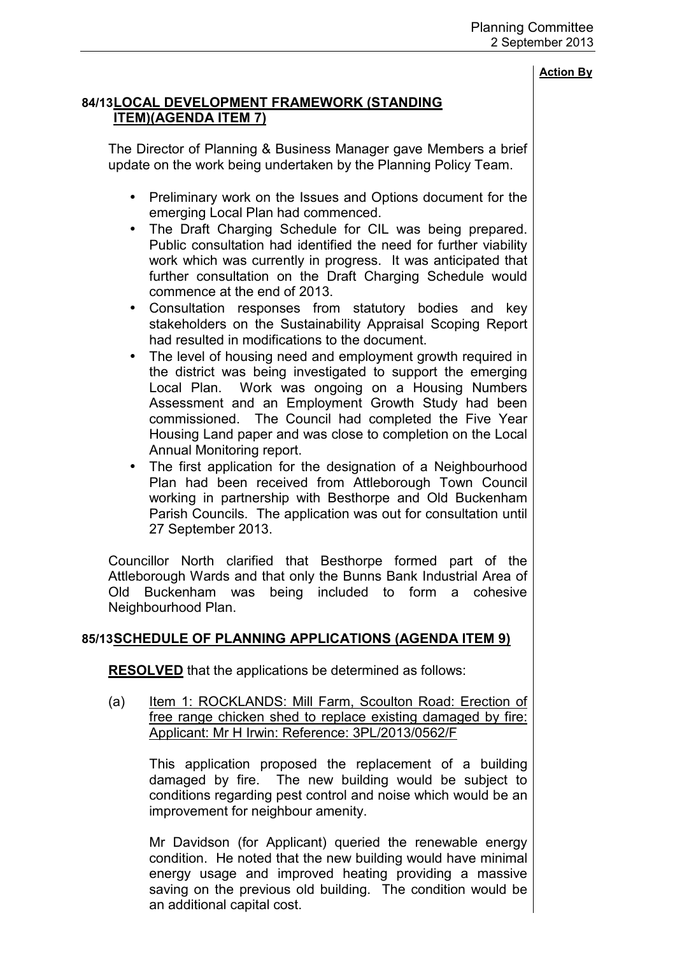## **84/13 LOCAL DEVELOPMENT FRAMEWORK (STANDING ITEM)(AGENDA ITEM 7)**

 The Director of Planning & Business Manager gave Members a brief update on the work being undertaken by the Planning Policy Team.

- Preliminary work on the Issues and Options document for the emerging Local Plan had commenced.
- The Draft Charging Schedule for CIL was being prepared. Public consultation had identified the need for further viability work which was currently in progress. It was anticipated that further consultation on the Draft Charging Schedule would commence at the end of 2013.
- Consultation responses from statutory bodies and key stakeholders on the Sustainability Appraisal Scoping Report had resulted in modifications to the document.
- The level of housing need and employment growth required in the district was being investigated to support the emerging Local Plan. Work was ongoing on a Housing Numbers Assessment and an Employment Growth Study had been commissioned. The Council had completed the Five Year Housing Land paper and was close to completion on the Local Annual Monitoring report.
- The first application for the designation of a Neighbourhood Plan had been received from Attleborough Town Council working in partnership with Besthorpe and Old Buckenham Parish Councils. The application was out for consultation until 27 September 2013.

Councillor North clarified that Besthorpe formed part of the Attleborough Wards and that only the Bunns Bank Industrial Area of Old Buckenham was being included to form a cohesive Neighbourhood Plan.

# **85/13 SCHEDULE OF PLANNING APPLICATIONS (AGENDA ITEM 9)**

**RESOLVED** that the applications be determined as follows:

(a) Item 1: ROCKLANDS: Mill Farm, Scoulton Road: Erection of free range chicken shed to replace existing damaged by fire: Applicant: Mr H Irwin: Reference: 3PL/2013/0562/F

This application proposed the replacement of a building damaged by fire. The new building would be subject to conditions regarding pest control and noise which would be an improvement for neighbour amenity.

Mr Davidson (for Applicant) queried the renewable energy condition. He noted that the new building would have minimal energy usage and improved heating providing a massive saving on the previous old building. The condition would be an additional capital cost.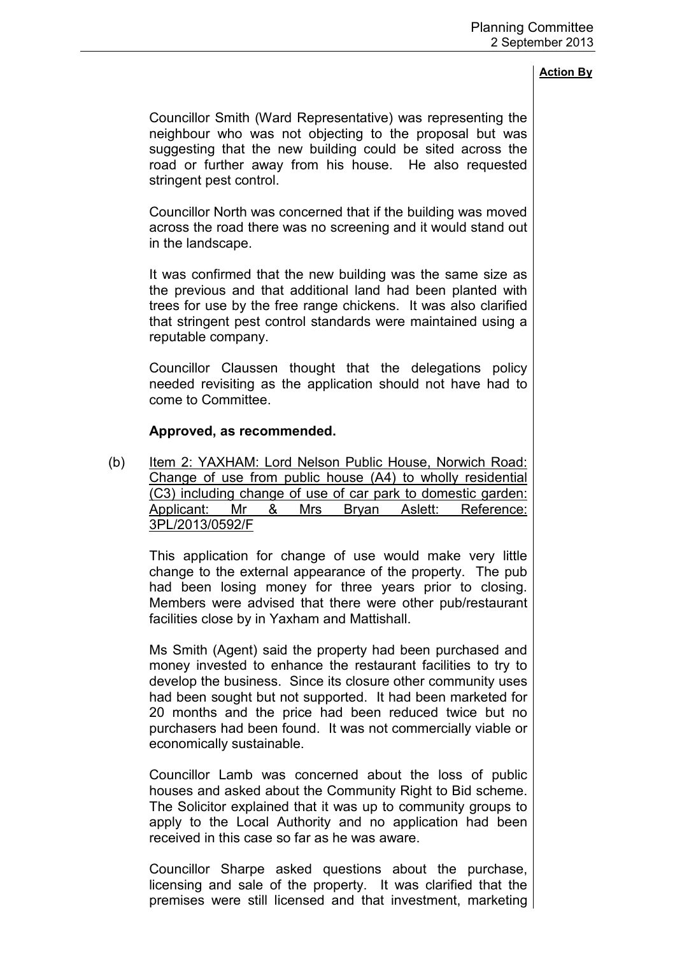Councillor Smith (Ward Representative) was representing the neighbour who was not objecting to the proposal but was suggesting that the new building could be sited across the road or further away from his house. He also requested stringent pest control.

Councillor North was concerned that if the building was moved across the road there was no screening and it would stand out in the landscape.

It was confirmed that the new building was the same size as the previous and that additional land had been planted with trees for use by the free range chickens. It was also clarified that stringent pest control standards were maintained using a reputable company.

Councillor Claussen thought that the delegations policy needed revisiting as the application should not have had to come to Committee.

### **Approved, as recommended.**

(b) Item 2: YAXHAM: Lord Nelson Public House, Norwich Road: Change of use from public house (A4) to wholly residential (C3) including change of use of car park to domestic garden: Applicant: Mr & Mrs Bryan Aslett: Reference: 3PL/2013/0592/F

This application for change of use would make very little change to the external appearance of the property. The pub had been losing money for three years prior to closing. Members were advised that there were other pub/restaurant facilities close by in Yaxham and Mattishall.

Ms Smith (Agent) said the property had been purchased and money invested to enhance the restaurant facilities to try to develop the business. Since its closure other community uses had been sought but not supported. It had been marketed for 20 months and the price had been reduced twice but no purchasers had been found. It was not commercially viable or economically sustainable.

Councillor Lamb was concerned about the loss of public houses and asked about the Community Right to Bid scheme. The Solicitor explained that it was up to community groups to apply to the Local Authority and no application had been received in this case so far as he was aware.

Councillor Sharpe asked questions about the purchase, licensing and sale of the property. It was clarified that the premises were still licensed and that investment, marketing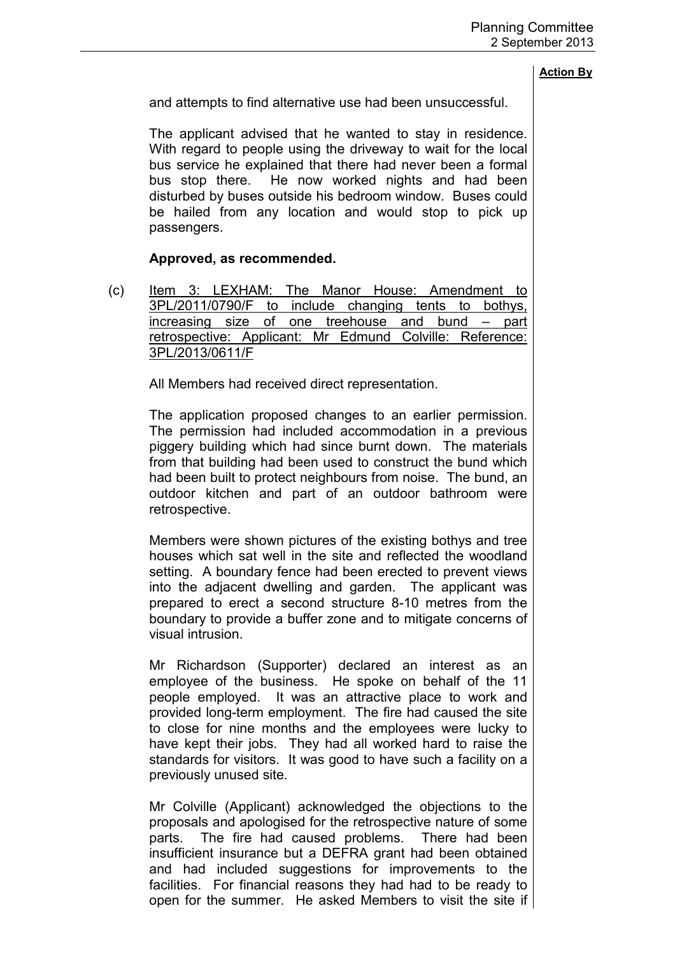and attempts to find alternative use had been unsuccessful.

The applicant advised that he wanted to stay in residence. With regard to people using the driveway to wait for the local bus service he explained that there had never been a formal bus stop there. He now worked nights and had been disturbed by buses outside his bedroom window. Buses could be hailed from any location and would stop to pick up passengers.

## **Approved, as recommended.**

(c) Item 3: LEXHAM: The Manor House: Amendment to 3PL/2011/0790/F to include changing tents to bothys, increasing size of one treehouse and bund – part retrospective: Applicant: Mr Edmund Colville: Reference: 3PL/2013/0611/F

All Members had received direct representation.

The application proposed changes to an earlier permission. The permission had included accommodation in a previous piggery building which had since burnt down. The materials from that building had been used to construct the bund which had been built to protect neighbours from noise. The bund, an outdoor kitchen and part of an outdoor bathroom were retrospective.

Members were shown pictures of the existing bothys and tree houses which sat well in the site and reflected the woodland setting. A boundary fence had been erected to prevent views into the adjacent dwelling and garden. The applicant was prepared to erect a second structure 8-10 metres from the boundary to provide a buffer zone and to mitigate concerns of visual intrusion.

Mr Richardson (Supporter) declared an interest as an employee of the business. He spoke on behalf of the 11 people employed. It was an attractive place to work and provided long-term employment. The fire had caused the site to close for nine months and the employees were lucky to have kept their jobs. They had all worked hard to raise the standards for visitors. It was good to have such a facility on a previously unused site.

Mr Colville (Applicant) acknowledged the objections to the proposals and apologised for the retrospective nature of some parts. The fire had caused problems. There had been insufficient insurance but a DEFRA grant had been obtained and had included suggestions for improvements to the facilities. For financial reasons they had had to be ready to open for the summer. He asked Members to visit the site if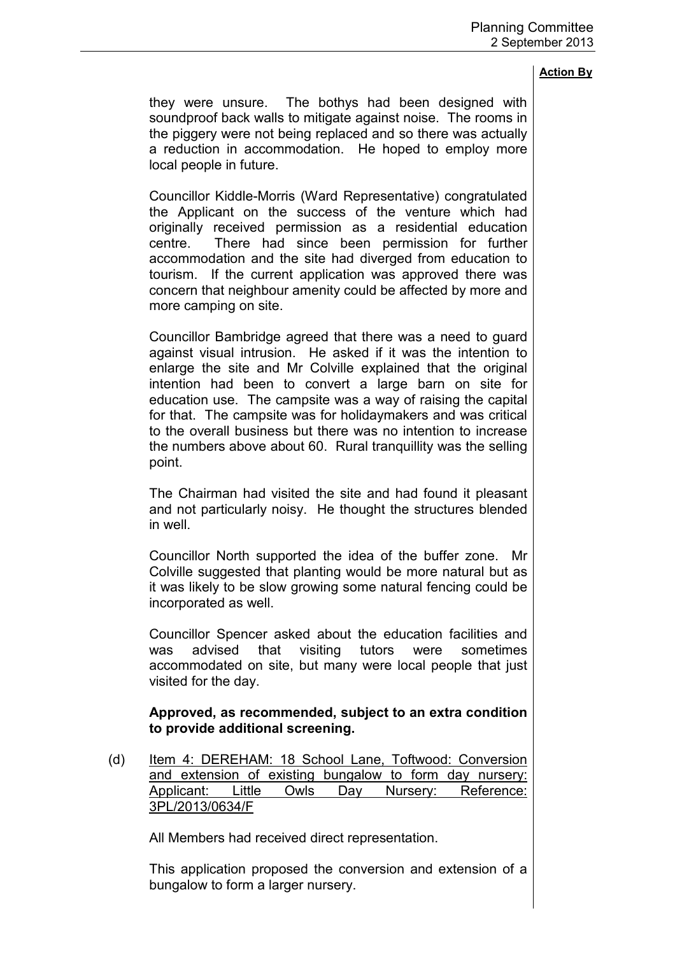they were unsure. The bothys had been designed with soundproof back walls to mitigate against noise. The rooms in the piggery were not being replaced and so there was actually a reduction in accommodation. He hoped to employ more local people in future.

Councillor Kiddle-Morris (Ward Representative) congratulated the Applicant on the success of the venture which had originally received permission as a residential education centre. There had since been permission for further accommodation and the site had diverged from education to tourism. If the current application was approved there was concern that neighbour amenity could be affected by more and more camping on site.

Councillor Bambridge agreed that there was a need to guard against visual intrusion. He asked if it was the intention to enlarge the site and Mr Colville explained that the original intention had been to convert a large barn on site for education use. The campsite was a way of raising the capital for that. The campsite was for holidaymakers and was critical to the overall business but there was no intention to increase the numbers above about 60. Rural tranquillity was the selling point.

The Chairman had visited the site and had found it pleasant and not particularly noisy. He thought the structures blended in well.

Councillor North supported the idea of the buffer zone. Mr Colville suggested that planting would be more natural but as it was likely to be slow growing some natural fencing could be incorporated as well.

Councillor Spencer asked about the education facilities and was advised that visiting tutors were sometimes accommodated on site, but many were local people that just visited for the day.

### **Approved, as recommended, subject to an extra condition to provide additional screening.**

(d) Item 4: DEREHAM: 18 School Lane, Toftwood: Conversion and extension of existing bungalow to form day nursery: Applicant: Little Owls Day Nursery: Reference: 3PL/2013/0634/F

All Members had received direct representation.

This application proposed the conversion and extension of a bungalow to form a larger nursery.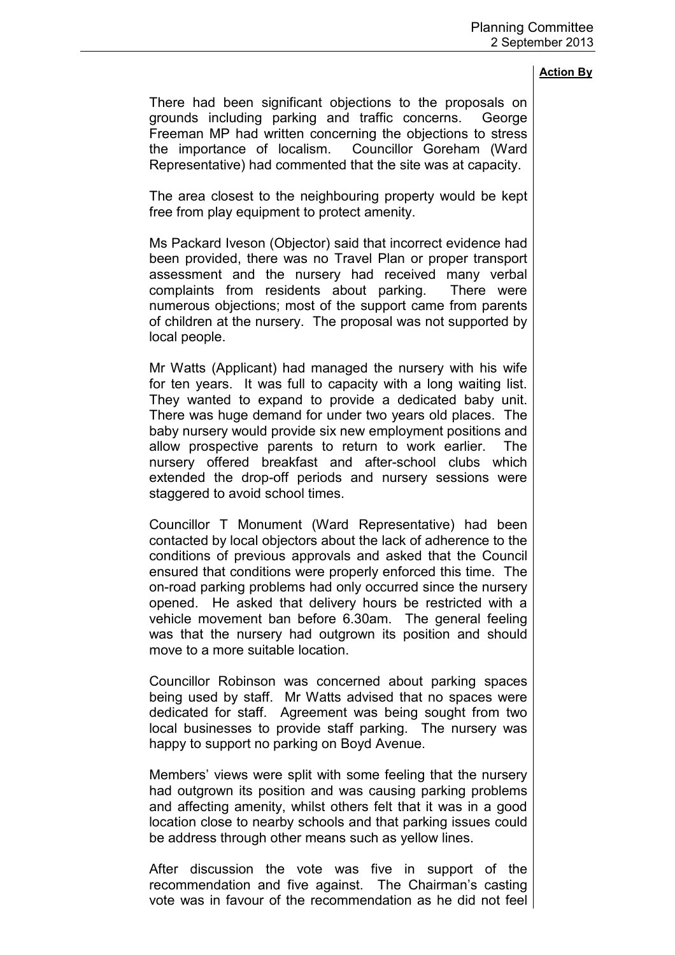There had been significant objections to the proposals on grounds including parking and traffic concerns. George Freeman MP had written concerning the objections to stress the importance of localism. Councillor Goreham (Ward Representative) had commented that the site was at capacity.

The area closest to the neighbouring property would be kept free from play equipment to protect amenity.

Ms Packard Iveson (Objector) said that incorrect evidence had been provided, there was no Travel Plan or proper transport assessment and the nursery had received many verbal complaints from residents about parking. There were numerous objections; most of the support came from parents of children at the nursery. The proposal was not supported by local people.

Mr Watts (Applicant) had managed the nursery with his wife for ten years. It was full to capacity with a long waiting list. They wanted to expand to provide a dedicated baby unit. There was huge demand for under two years old places. The baby nursery would provide six new employment positions and allow prospective parents to return to work earlier. The nursery offered breakfast and after-school clubs which extended the drop-off periods and nursery sessions were staggered to avoid school times.

Councillor T Monument (Ward Representative) had been contacted by local objectors about the lack of adherence to the conditions of previous approvals and asked that the Council ensured that conditions were properly enforced this time. The on-road parking problems had only occurred since the nursery opened. He asked that delivery hours be restricted with a vehicle movement ban before 6.30am. The general feeling was that the nursery had outgrown its position and should move to a more suitable location.

Councillor Robinson was concerned about parking spaces being used by staff. Mr Watts advised that no spaces were dedicated for staff. Agreement was being sought from two local businesses to provide staff parking. The nursery was happy to support no parking on Boyd Avenue.

Members' views were split with some feeling that the nursery had outgrown its position and was causing parking problems and affecting amenity, whilst others felt that it was in a good location close to nearby schools and that parking issues could be address through other means such as yellow lines.

After discussion the vote was five in support of the recommendation and five against. The Chairman's casting vote was in favour of the recommendation as he did not feel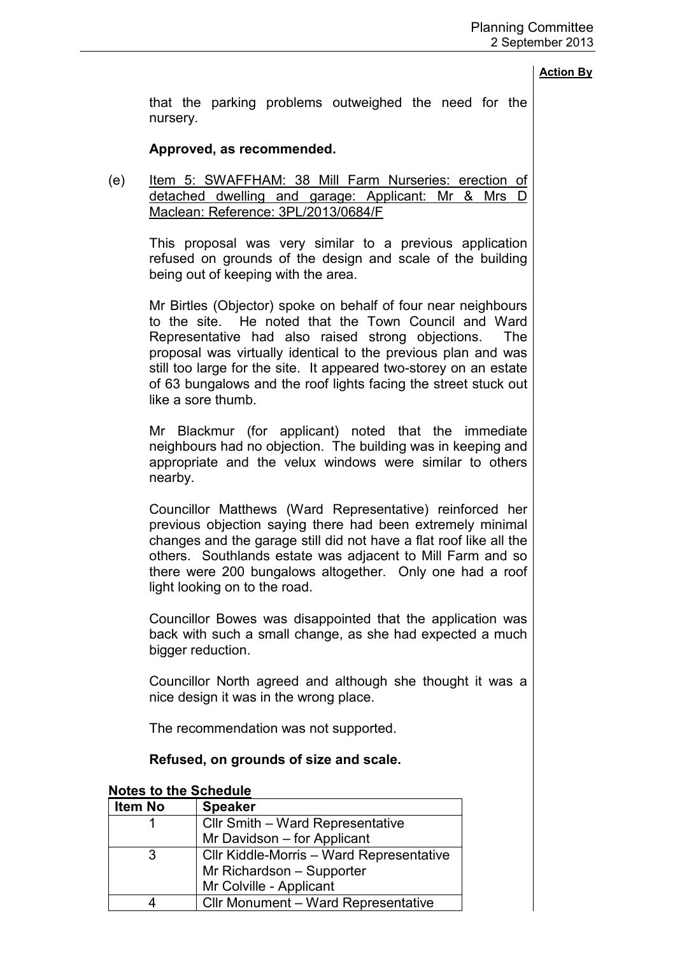that the parking problems outweighed the need for the nursery.

### **Approved, as recommended.**

(e) Item 5: SWAFFHAM: 38 Mill Farm Nurseries: erection of detached dwelling and garage: Applicant: Mr & Mrs D Maclean: Reference: 3PL/2013/0684/F

This proposal was very similar to a previous application refused on grounds of the design and scale of the building being out of keeping with the area.

Mr Birtles (Objector) spoke on behalf of four near neighbours to the site. He noted that the Town Council and Ward Representative had also raised strong objections. The proposal was virtually identical to the previous plan and was still too large for the site. It appeared two-storey on an estate of 63 bungalows and the roof lights facing the street stuck out like a sore thumb.

Mr Blackmur (for applicant) noted that the immediate neighbours had no objection. The building was in keeping and appropriate and the velux windows were similar to others nearby.

Councillor Matthews (Ward Representative) reinforced her previous objection saying there had been extremely minimal changes and the garage still did not have a flat roof like all the others. Southlands estate was adjacent to Mill Farm and so there were 200 bungalows altogether. Only one had a roof light looking on to the road.

Councillor Bowes was disappointed that the application was back with such a small change, as she had expected a much bigger reduction.

Councillor North agreed and although she thought it was a nice design it was in the wrong place.

The recommendation was not supported.

### **Refused, on grounds of size and scale.**

| notes to the ocheand |                                            |  |
|----------------------|--------------------------------------------|--|
| Item No              | <b>Speaker</b>                             |  |
|                      | Cllr Smith - Ward Representative           |  |
|                      | Mr Davidson - for Applicant                |  |
| 3                    | Cllr Kiddle-Morris - Ward Representative   |  |
|                      | Mr Richardson - Supporter                  |  |
|                      | Mr Colville - Applicant                    |  |
|                      | <b>Cllr Monument - Ward Representative</b> |  |

## **Notes to the Schedule**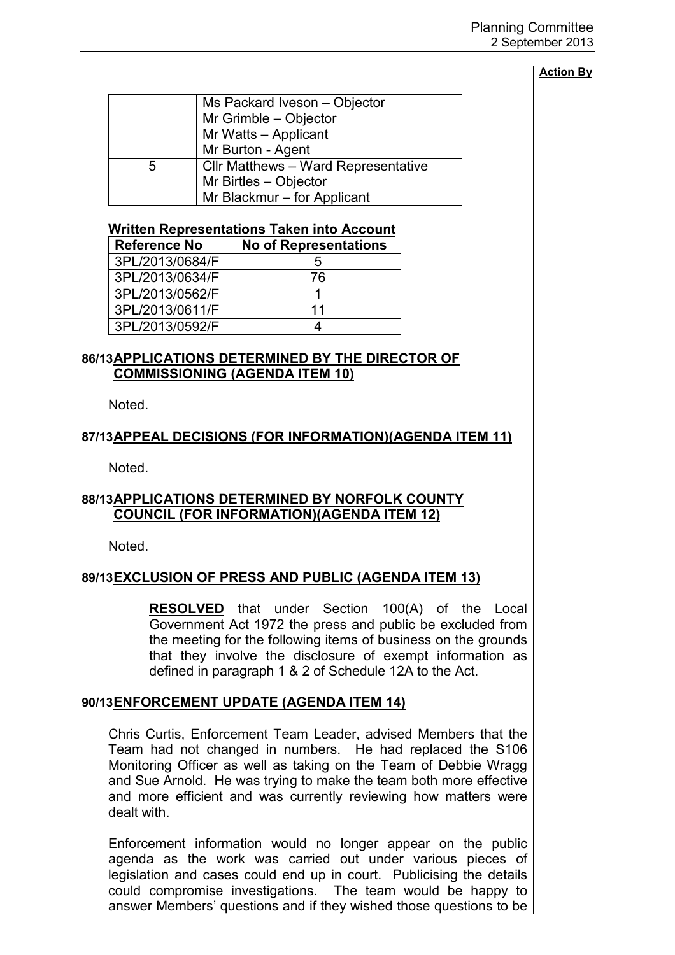|   | Ms Packard Iveson - Objector<br>Mr Grimble - Objector<br>Mr Watts - Applicant<br>Mr Burton - Agent |
|---|----------------------------------------------------------------------------------------------------|
| 5 | <b>CIIr Matthews - Ward Representative</b><br>Mr Birtles - Objector<br>Mr Blackmur - for Applicant |

#### **Written Representations Taken into Account**

| <b>Reference No</b> | <b>No of Representations</b> |
|---------------------|------------------------------|
| 3PL/2013/0684/F     | 5                            |
| 3PL/2013/0634/F     | 76                           |
| 3PL/2013/0562/F     |                              |
| 3PL/2013/0611/F     | 11                           |
| 3PL/2013/0592/F     |                              |

## **86/13 APPLICATIONS DETERMINED BY THE DIRECTOR OF COMMISSIONING (AGENDA ITEM 10)**

**Noted** 

### **87/13 APPEAL DECISIONS (FOR INFORMATION)(AGENDA ITEM 11)**

Noted.

# **88/13 APPLICATIONS DETERMINED BY NORFOLK COUNTY COUNCIL (FOR INFORMATION)(AGENDA ITEM 12)**

Noted.

## **89/13 EXCLUSION OF PRESS AND PUBLIC (AGENDA ITEM 13)**

**RESOLVED** that under Section 100(A) of the Local Government Act 1972 the press and public be excluded from the meeting for the following items of business on the grounds that they involve the disclosure of exempt information as defined in paragraph 1 & 2 of Schedule 12A to the Act.

### **90/13 ENFORCEMENT UPDATE (AGENDA ITEM 14)**

 Chris Curtis, Enforcement Team Leader, advised Members that the Team had not changed in numbers. He had replaced the S106 Monitoring Officer as well as taking on the Team of Debbie Wragg and Sue Arnold. He was trying to make the team both more effective and more efficient and was currently reviewing how matters were dealt with.

Enforcement information would no longer appear on the public agenda as the work was carried out under various pieces of legislation and cases could end up in court. Publicising the details could compromise investigations. The team would be happy to answer Members' questions and if they wished those questions to be